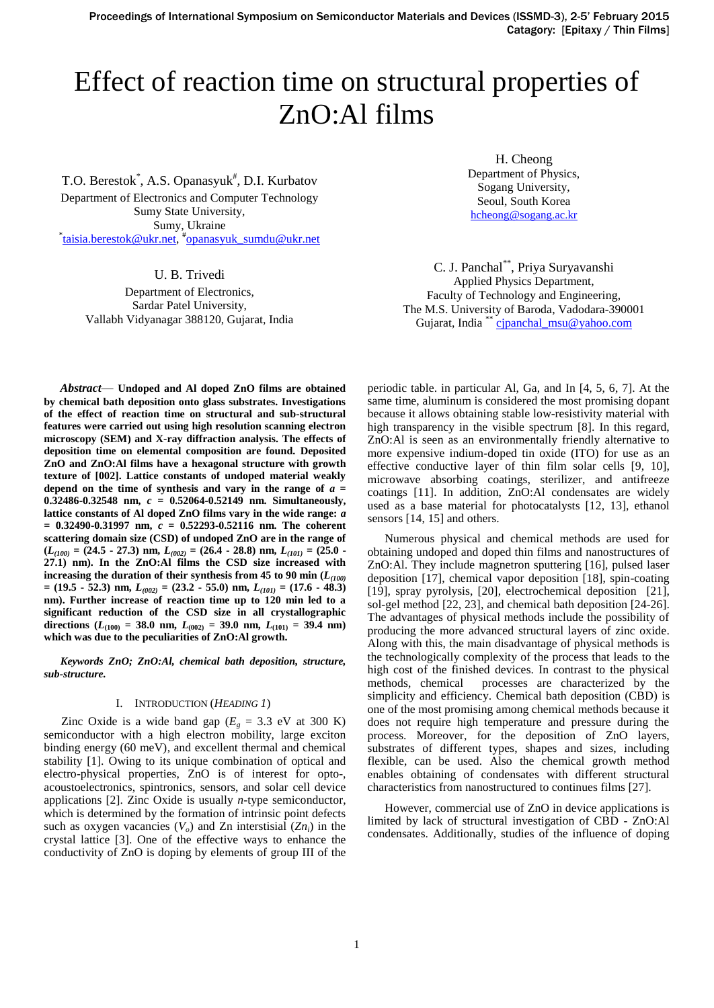# Effect of reaction time on structural properties of ZnO:Al films

T.O. Berestok<sup>\*</sup>, A.S. Opanasyuk<sup>#</sup>, D.I. Kurbatov

Department of Electronics and Computer Technology Sumy State University, Sumy, Ukraine \* [taisia.berestok@ukr.net,](mailto:taisia.berestok@ukr.net) # [opanasyuk\\_sumdu@ukr.net](mailto:opanasyuk_sumdu@ukr.net)

U. B. Trivedi

Department of Electronics, Sardar Patel University, Vallabh Vidyanagar 388120, Gujarat, India

H. Cheong Department of Physics, Sogang University, Seoul, South Korea [hcheong@sogang.ac.kr](mailto:hcheong@sogang.ac.kr)

C. J. Panchal\*\*, Priya Suryavanshi Applied Physics Department, Faculty of Technology and Engineering, The M.S. University of Baroda, Vadodara-390001 Gujarat, India<sup>\*\*</sup> [cjpanchal\\_msu@yahoo.com](cjpanchal_msu@yahoo.com)

*Abstract*— **Undoped and Al doped ZnO films are obtained by chemical bath deposition onto glass substrates. Investigations of the effect of reaction time on structural and sub-structural features were carried out using high resolution scanning electron microscopy (SEM) and X-ray diffraction analysis. The effects of deposition time on elemental composition are found. Deposited ZnO and ZnO:Al films have a hexagonal structure with growth texture of [002]. Lattice constants of undoped material weakly**  depend on the time of synthesis and vary in the range of  $a =$ **0.32486-0.32548 nm,** *c* **= 0.52064-0.52149 nm. Simultaneously, lattice constants of Al doped ZnO films vary in the wide range:** *a* **= 0.32490-0.31997 nm,** *c* **= 0.52293-0.52116 nm. The coherent scattering domain size (CSD) of undoped ZnO are in the range of (***L(100)* **= (24.5 - 27.3) nm,** *L(002)* **= (26.4 - 28.8) nm,** *L(101)* **= (25.0 - 27.1) nm). In the ZnO:Al films the CSD size increased with increasing the duration of their synthesis from 45 to 90 min (***L(100)* **= (19.5 - 52.3) nm,** *L(002)* **= (23.2 - 55.0) nm,** *L(101)* **= (17.6 - 48.3) nm). Further increase of reaction time up to 120 min led to a significant reduction of the CSD size in all crystallographic** directions ( $L_{(100)}$  = 38.0 nm,  $L_{(002)}$  = 39.0 nm,  $L_{(101)}$  = 39.4 nm) **which was due to the peculiarities of ZnO:Al growth.**

*Keywords ZnO; ZnO:Al, chemical bath deposition, structure, sub-structure.*

#### I. INTRODUCTION (*HEADING 1*)

Zinc Oxide is a wide band gap ( $E_g = 3.3$  eV at 300 K) semiconductor with a high electron mobility, large exciton binding energy (60 meV), and excellent thermal and chemical stability [1]. Owing to its unique combination of optical and electro-physical properties, ZnO is of interest for opto-, acoustoelectronics, spintronics, sensors, and solar cell device applications [2]. Zinc Oxide is usually *n*-type semiconductor, which is determined by the formation of intrinsic point defects such as oxygen vacancies (*Vo*) and Zn interstisial (*Zni*) in the crystal lattice [3]. One of the effective ways to enhance the conductivity of ZnO is doping by elements of group III of the periodic table. in particular Al, Ga, and In [4, 5, 6, 7]. At the same time, aluminum is considered the most promising dopant because it allows obtaining stable low-resistivity material with high transparency in the visible spectrum [8]. In this regard, ZnO:Al is seen as an environmentally friendly alternative to more expensive indium-doped tin oxide (ITO) for use as an effective conductive layer of thin film solar cells [9, 10], microwave absorbing coatings, sterilizer, and antifreeze coatings [11]. In addition, ZnO:Al condensates are widely used as a base material for photocatalysts [12, 13], ethanol sensors [14, 15] and others.

Numerous physical and chemical methods are used for obtaining undoped and doped thin films and nanostructures of ZnO:Al. They include magnetron sputtering [16], pulsed laser deposition [17], chemical vapor deposition [18], spin-coating [19], spray pyrolysis, [20], electrochemical deposition [21], sol-gel method [22, 23], and chemical bath deposition [24-26]. The advantages of physical methods include the possibility of producing the more advanced structural layers of zinc oxide. Along with this, the main disadvantage of physical methods is the technologically complexity of the process that leads to the high cost of the finished devices. In contrast to the physical methods, chemical processes are characterized by the simplicity and efficiency. Chemical bath deposition (CBD) is one of the most promising among chemical methods because it does not require high temperature and pressure during the process. Moreover, for the deposition of ZnO layers, substrates of different types, shapes and sizes, including flexible, can be used. Also the chemical growth method enables obtaining of condensates with different structural characteristics from nanostructured to continues films [27].

However, commercial use of ZnO in device applications is limited by lack of structural investigation of CBD - ZnO:Al condensates. Additionally, studies of the influence of doping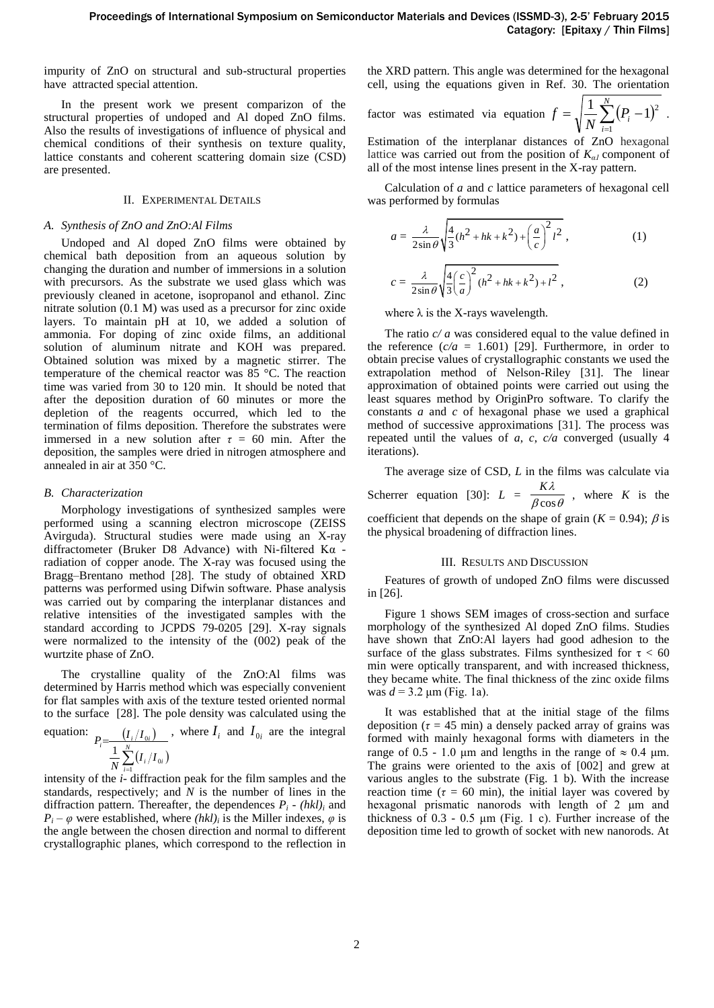impurity of ZnO on structural and sub-structural properties have attracted special attention.

In the present work we present comparizon of the structural properties of undoped and Al doped ZnO films. Also the results of investigations of influence of physical and chemical conditions of their synthesis on texture quality, lattice constants and coherent scattering domain size (CSD) are presented.

### II. EXPERIMENTAL DETAILS

## *A. Synthesis of ZnO and ZnO:Al Films*

Undoped and Al doped ZnO films were obtained by chemical bath deposition from an aqueous solution by changing the duration and number of immersions in a solution with precursors. As the substrate we used glass which was previously cleaned in acetone, isopropanol and ethanol. Zinc nitrate solution (0.1 M) was used as a precursor for zinc oxide layers. To maintain pH at 10, we added a solution of ammonia. For doping of zinc oxide films, an additional solution of aluminum nitrate and KOH was prepared. Obtained solution was mixed by a magnetic stirrer. The temperature of the chemical reactor was 85 °C. The reaction time was varied from 30 to 120 min. It should be noted that after the deposition duration of 60 minutes or more the depletion of the reagents occurred, which led to the termination of films deposition. Therefore the substrates were immersed in a new solution after  $\tau = 60$  min. After the deposition, the samples were dried in nitrogen atmosphere and annealed in air at 350 °C.

# *B. Characterization*

Morphology investigations of synthesized samples were performed using a scanning electron microscope (ZEISS Avirguda). Structural studies were made using an X-ray diffractometer (Bruker D8 Advance) with Ni-filtered Kα radiation of copper anode. The X-ray was focused using the Bragg–Brentano method [28]. The study of obtained XRD patterns was performed using Difwin software. Phase analysis was carried out by comparing the interplanar distances and relative intensities of the investigated samples with the standard according to JCPDS 79-0205 [29]. X-ray signals were normalized to the intensity of the (002) peak of the wurtzite phase of ZnO.

The crystalline quality of the ZnO:Al films was determined by Harris method which was especially convenient for flat samples with axis of the texture tested oriented normal to the surface [28]. The pole density was calculated using the

equation: 
$$
P_i = \frac{(I_i/I_{0i})}{\frac{1}{N} \sum_{i=1}^{N} (I_i/I_{0i})}
$$
, where  $I_i$  and  $I_{0i}$  are the integral

intensity of the *i*- diffraction peak for the film samples and the standards, respectively; and *N* is the number of lines in the diffraction pattern. Thereafter, the dependences  $P_i$  -  $(hkl)_i$  and  $P_i - \varphi$  were established, where *(hkl)*<sup>*i*</sup> is the Miller indexes,  $\varphi$  is the angle between the chosen direction and normal to different crystallographic planes, which correspond to the reflection in

the XRD pattern. This angle was determined for the hexagonal cell, using the equations given in Ref. 30. The orientation

factor was estimated via equation 
$$
f = \sqrt{\frac{1}{N} \sum_{i=1}^{N} (P_i - 1)^2}
$$
.

Estimation of the interplanar distances of ZnO hexagonal lattice was carried out from the position of  $K_{a}$  component of all of the most intense lines present in the X-ray pattern.

Calculation of *a* and *c* lattice parameters of hexagonal cell was performed by formulas

$$
a = \frac{\lambda}{2\sin\theta} \sqrt{\frac{4}{3}(h^2 + hk + k^2) + \left(\frac{a}{c}\right)^2 l^2},
$$
\n
$$
c = \frac{\lambda}{2\sin\theta} \sqrt{\frac{4}{3}\left(\frac{c}{a}\right)^2 (h^2 + hk + k^2) + l^2},
$$
\n(1)

where  $\lambda$  is the X-rays wavelength.

The ratio *c/ a* was considered equal to the value defined in the reference  $(c/a = 1.601)$  [29]. Furthermore, in order to obtain precise values of crystallographic constants we used the extrapolation method of Nelson-Riley [31]. The linear approximation of obtained points were carried out using the least squares method by OriginPro software. To clarify the constants *a* and *c* of hexagonal phase we used a graphical method of successive approximations [31]. The process was repeated until the values of *a*, *c*, *c/a* converged (usually 4 iterations).

The average size of CSD, *L* in the films was calculate via Scherrer equation [30]:  $L = \frac{120}{\beta \cos \theta}$ *K*  $\frac{H(x)}{\beta \cos \theta}$ , where *K* is the

coefficient that depends on the shape of grain  $(K = 0.94)$ ;  $\beta$  is the physical broadening of diffraction lines.

### III. RESULTS AND DISCUSSION

Features of growth of undoped ZnO films were discussed in [26].

Figure 1 shows SEM images of cross-section and surface morphology of the synthesized Al doped ZnO films. Studies have shown that ZnO:Al layers had good adhesion to the surface of the glass substrates. Films synthesized for  $\tau < 60$ min were optically transparent, and with increased thickness, they became white. The final thickness of the zinc oxide films was  $d = 3.2 \text{ µm}$  (Fig. 1a).

It was established that at the initial stage of the films deposition ( $\tau$  = 45 min) a densely packed array of grains was formed with mainly hexagonal forms with diameters in the range of 0.5 - 1.0 μm and lengths in the range of  $\approx$  0.4 μm. The grains were oriented to the axis of [002] and grew at various angles to the substrate (Fig. 1 b). With the increase reaction time ( $\tau = 60$  min), the initial layer was covered by hexagonal prismatic nanorods with length of 2 μm and thickness of  $0.3 - 0.5$   $\mu$ m (Fig. 1 c). Further increase of the deposition time led to growth of socket with new nanorods. At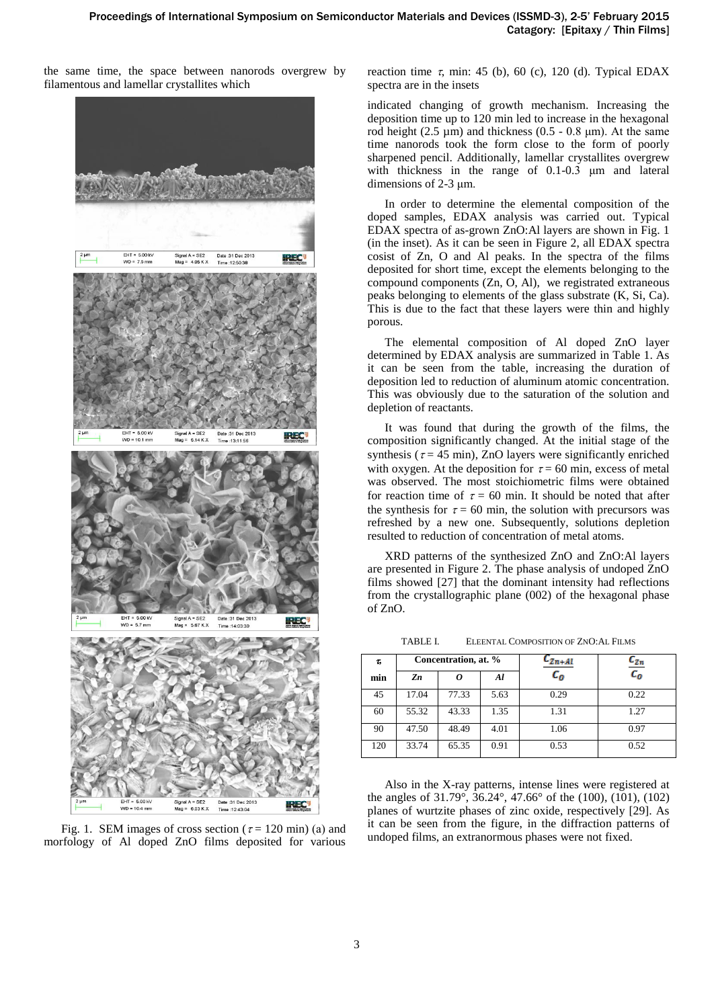the same time, the space between nanorods overgrew by filamentous and lamellar crystallites which



Fig. 1. SEM images of cross section ( $\tau$  = 120 min) (a) and morfology of Al doped ZnO films deposited for various

reaction time  $\tau$ , min: 45 (b), 60 (c), 120 (d). Typical EDAX spectra are in the insets

indicated changing of growth mechanism. Increasing the deposition time up to 120 min led to increase in the hexagonal rod height (2.5  $\mu$ m) and thickness (0.5 - 0.8  $\mu$ m). At the same time nanorods took the form close to the form of poorly sharpened pencil. Additionally, lamellar crystallites overgrew with thickness in the range of 0.1-0.3 μm and lateral dimensions of 2-3 μm.

In order to determine the elemental composition of the doped samples, EDAX analysis was carried out. Typical EDAX spectra of as-grown ZnO:Al layers are shown in Fig. 1 (in the inset). As it can be seen in Figure 2, all EDAX spectra cosist of Zn, O and Al peaks. In the spectra of the films deposited for short time, except the elements belonging to the compound components (Zn, O, Al), we registrated extraneous peaks belonging to elements of the glass substrate (K, Si, Ca). This is due to the fact that these layers were thin and highly porous.

The elemental composition of Al doped ZnO layer determined by EDAX analysis are summarized in Table 1. As it can be seen from the table, increasing the duration of deposition led to reduction of aluminum atomic concentration. This was obviously due to the saturation of the solution and depletion of reactants.

It was found that during the growth of the films, the composition significantly changed. At the initial stage of the synthesis ( $\tau$  = 45 min), ZnO layers were significantly enriched with oxygen. At the deposition for  $\tau = 60$  min, excess of metal was observed. The most stoichiometric films were obtained for reaction time of  $\tau = 60$  min. It should be noted that after the synthesis for  $\tau = 60$  min, the solution with precursors was refreshed by a new one. Subsequently, solutions depletion resulted to reduction of concentration of metal atoms.

XRD patterns of the synthesized ZnO and ZnO:Al layers are presented in Figure 2. The phase analysis of undoped ZnO films showed [27] that the dominant intensity had reflections from the crystallographic plane (002) of the hexagonal phase of ZnO.

TABLE I. ELEENTAL COMPOSITION OF ZNO:AL FILMS

| τ,  |       | Concentration, at. % |      | Zn+Al   | $c_{\text{z}_n}$ |  |  |
|-----|-------|----------------------|------|---------|------------------|--|--|
| min | Zn    |                      | Al   | $c_{o}$ | $c_{o}$          |  |  |
| 45  | 17.04 | 77.33                | 5.63 | 0.29    | 0.22             |  |  |
| 60  | 55.32 | 43.33                | 1.35 | 1.31    | 1.27             |  |  |
| 90  | 47.50 | 48.49                | 4.01 | 1.06    | 0.97             |  |  |
| 120 | 33.74 | 65.35                | 0.91 | 0.53    | 0.52             |  |  |

Also in the X-ray patterns, intense lines were registered at the angles of 31.79°, 36.24°, 47.66° of the (100), (101), (102) planes of wurtzite phases of zinc oxide, respectively [29]. As it can be seen from the figure, in the diffraction patterns of undoped films, an extranormous phases were not fixed.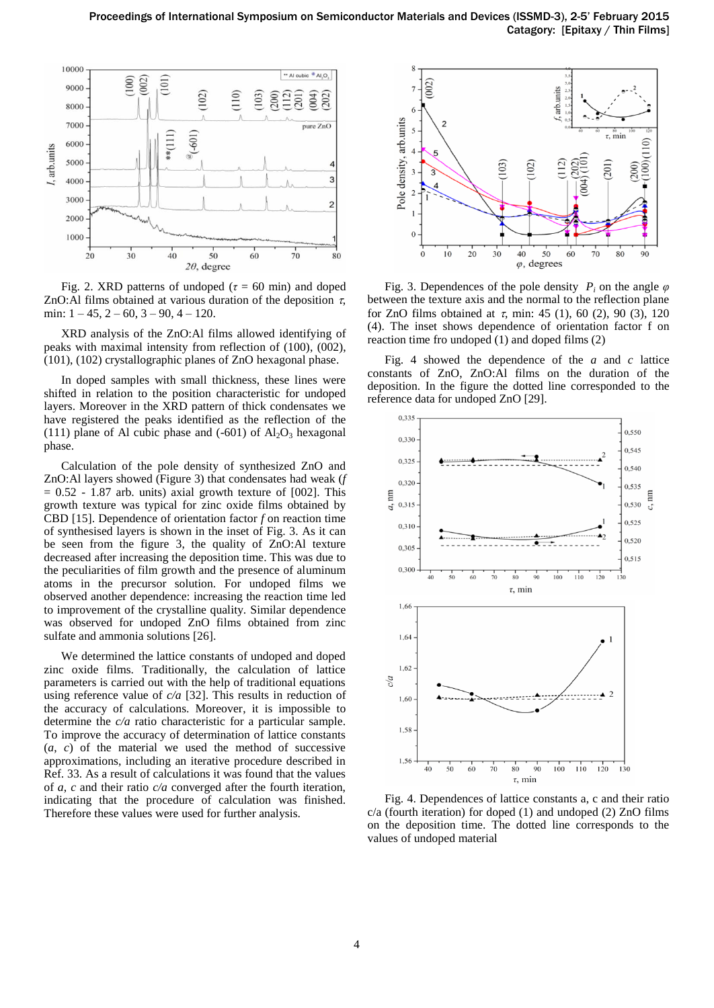

Fig. 2. XRD patterns of undoped ( $\tau = 60$  min) and doped ZnO:Al films obtained at various duration of the deposition  $\tau$ , min:  $1 - 45$ ,  $2 - 60$ ,  $3 - 90$ ,  $4 - 120$ .

XRD analysis of the ZnO:Al films allowed identifying of peaks with maximal intensity from reflection of (100), (002), (101), (102) crystallographic planes of ZnO hexagonal phase.

In doped samples with small thickness, these lines were shifted in relation to the position characteristic for undoped layers. Moreover in the XRD pattern of thick condensates we have registered the peaks identified as the reflection of the (111) plane of Al cubic phase and  $(-601)$  of  $Al_2O_3$  hexagonal phase.

Calculation of the pole density of synthesized ZnO and ZnO:Al layers showed (Figure 3) that condensates had weak (*f*  $= 0.52 - 1.87$  arb. units) axial growth texture of [002]. This growth texture was typical for zinc oxide films obtained by CBD [15]. Dependence of orientation factor *f* on reaction time of synthesised layers is shown in the inset of Fig. 3. As it can be seen from the figure 3, the quality of ZnO:Al texture decreased after increasing the deposition time. This was due to the peculiarities of film growth and the presence of aluminum atoms in the precursor solution. For undoped films we observed another dependence: increasing the reaction time led to improvement of the crystalline quality. Similar dependence was observed for undoped ZnO films obtained from zinc sulfate and ammonia solutions [26].

We determined the lattice constants of undoped and doped zinc oxide films. Traditionally, the calculation of lattice parameters is carried out with the help of traditional equations using reference value of *c/a* [32]. This results in reduction of the accuracy of calculations. Moreover, it is impossible to determine the *c/a* ratio characteristic for a particular sample. To improve the accuracy of determination of lattice constants (*a*, *c*) of the material we used the method of successive approximations, including an iterative procedure described in Ref. 33. As a result of calculations it was found that the values of *a*, *c* and their ratio *c/a* converged after the fourth iteration, indicating that the procedure of calculation was finished. Therefore these values were used for further analysis.



Fig. 3. Dependences of the pole density  $P_i$  on the angle  $\varphi$ between the texture axis and the normal to the reflection plane for ZnO films obtained at  $\tau$ , min: 45 (1), 60 (2), 90 (3), 120 (4). The inset shows dependence of orientation factor f on reaction time fro undoped (1) and doped films (2)

Fig. 4 showed the dependence of the *a* and *c* lattice constants of ZnO, ZnO:Al films on the duration of the deposition. In the figure the dotted line corresponded to the reference data for undoped ZnO [29].



Fig. 4. Dependences of lattice constants a, c and their ratio c/a (fourth iteration) for doped (1) and undoped (2) ZnO films on the deposition time. The dotted line corresponds to the values of undoped material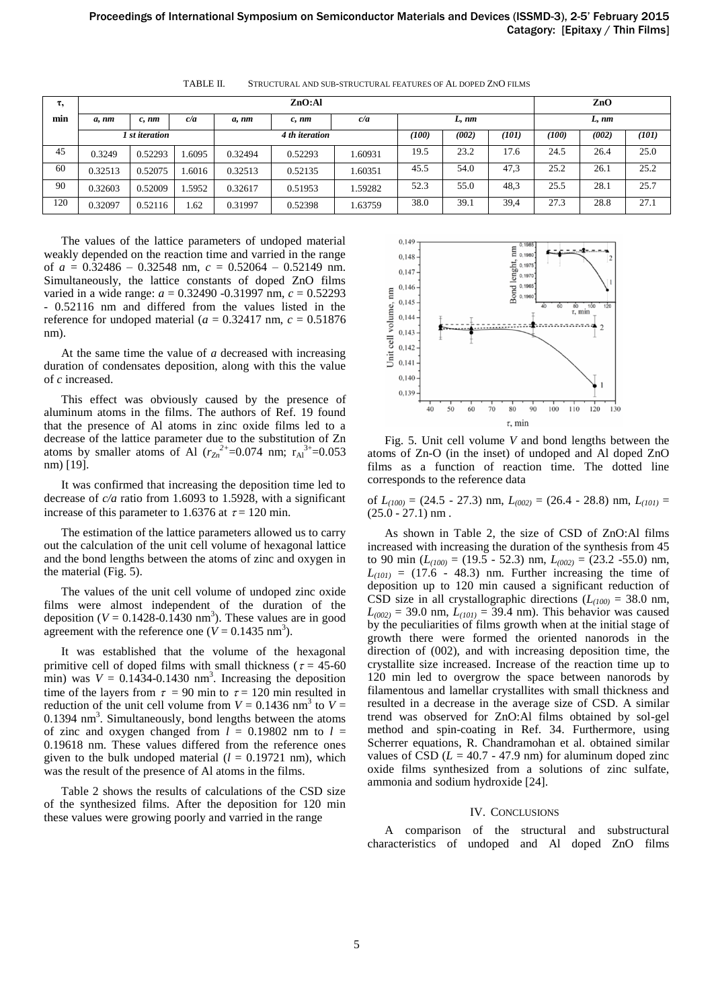| τ,  | ZnO:Al         |            |        |                |         |         |       |       |       |       | ZnO   |       |  |
|-----|----------------|------------|--------|----------------|---------|---------|-------|-------|-------|-------|-------|-------|--|
| min | a, nm          | $c$ , $nm$ | c/a    | a, nm          | c, nm   | c/a     |       | L, nm |       | L, nm |       |       |  |
|     | 1 st iteration |            |        | 4 th iteration |         |         | (100) | (002) | (101) | (100) | (002) | (101) |  |
| 45  | 0.3249         | 0.52293    | .6095  | 0.32494        | 0.52293 | 1.60931 | 19.5  | 23.2  | 17.6  | 24.5  | 26.4  | 25.0  |  |
| 60  | 0.32513        | 0.52075    | .6016  | 0.32513        | 0.52135 | 1.60351 | 45.5  | 54.0  | 47,3  | 25.2  | 26.1  | 25.2  |  |
| 90  | 0.32603        | 0.52009    | 1.5952 | 0.32617        | 0.51953 | 1.59282 | 52.3  | 55.0  | 48,3  | 25.5  | 28.1  | 25.7  |  |
| 120 | 0.32097        | 0.52116    | 1.62   | 0.31997        | 0.52398 | 1.63759 | 38.0  | 39.1  | 39,4  | 27.3  | 28.8  | 27.1  |  |

TABLE II. STRUCTURAL AND SUB-STRUCTURAL FEATURES OF AL DOPED ZNO FILMS

The values of the lattice parameters of undoped material weakly depended on the reaction time and varried in the range of *a* = 0.32486 – 0.32548 nm, *c* = 0.52064 – 0.52149 nm. Simultaneously, the lattice constants of doped ZnO films varied in a wide range: *a* = 0.32490 -0.31997 nm, *c* = 0.52293 - 0.52116 nm and differed from the values listed in the reference for undoped material ( $a = 0.32417$  nm,  $c = 0.51876$ nm).

At the same time the value of *a* decreased with increasing duration of condensates deposition, along with this the value of *c* increased.

This effect was obviously caused by the presence of aluminum atoms in the films. The authors of Ref. 19 found that the presence of Al atoms in zinc oxide films led to a decrease of the lattice parameter due to the substitution of Zn atoms by smaller atoms of Al  $(r_{Zn}^{2+}=0.074$  nm;  $r_{Al}^{3+}=0.053$ nm) [19].

It was confirmed that increasing the deposition time led to decrease of *c/a* ratio from 1.6093 to 1.5928, with a significant increase of this parameter to 1.6376 at  $\tau = 120$  min.

The estimation of the lattice parameters allowed us to carry out the calculation of the unit cell volume of hexagonal lattice and the bond lengths between the atoms of zinc and oxygen in the material (Fig. 5).

The values of the unit cell volume of undoped zinc oxide films were almost independent of the duration of the deposition ( $V = 0.1428 - 0.1430$  nm<sup>3</sup>). These values are in good agreement with the reference one ( $V = 0.1435$  nm<sup>3</sup>).

It was established that the volume of the hexagonal primitive cell of doped films with small thickness ( $\tau = 45{\text -}60$ ) min) was  $V = 0.1434 - 0.1430$  nm<sup>3</sup>. Increasing the deposition time of the layers from  $\tau = 90$  min to  $\tau = 120$  min resulted in reduction of the unit cell volume from  $V = 0.1436$  nm<sup>3</sup> to  $V =$  $0.1394$  nm<sup>3</sup>. Simultaneously, bond lengths between the atoms of zinc and oxygen changed from  $l = 0.19802$  nm to  $l =$ 0.19618 nm. These values differed from the reference ones given to the bulk undoped material  $(l = 0.19721$  nm), which was the result of the presence of Al atoms in the films.

Table 2 shows the results of calculations of the CSD size of the synthesized films. After the deposition for 120 min these values were growing poorly and varried in the range



Fig. 5. Unit cell volume *V* and bond lengths between the atoms of Zn-O (in the inset) of undoped and Al doped ZnO films as a function of reaction time. The dotted line corresponds to the reference data

of *L(100)* = (24.5 - 27.3) nm, *L(002)* = (26.4 - 28.8) nm, *L(101)* =  $(25.0 - 27.1)$  nm.

As shown in Table 2, the size of CSD of ZnO:Al films increased with increasing the duration of the synthesis from 45 to 90 min (*L(100)* = (19.5 - 52.3) nm, *L(002)* = (23.2 -55.0) nm,  $L_{(101)} = (17.6 - 48.3)$  nm. Further increasing the time of deposition up to 120 min caused a significant reduction of CSD size in all crystallographic directions  $(L_{(100)} = 38.0 \text{ nm}$ ,  $L_{(002)} = 39.0$  nm,  $L_{(101)} = 39.4$  nm). This behavior was caused by the peculiarities of films growth when at the initial stage of growth there were formed the oriented nanorods in the direction of (002), and with increasing deposition time, the crystallite size increased. Increase of the reaction time up to 120 min led to overgrow the space between nanorods by filamentous and lamellar crystallites with small thickness and resulted in a decrease in the average size of CSD. A similar trend was observed for ZnO:Al films obtained by sol-gel method and spin-coating in Ref. 34. Furthermore, using Scherrer equations, R. Chandramohan et al. obtained similar values of CSD  $(L = 40.7 - 47.9)$  nm for aluminum doped zinc oxide films synthesized from a solutions of zinc sulfate, ammonia and sodium hydroxide [24].

#### IV. CONCLUSIONS

A comparison of the structural and substructural characteristics of undoped and Al doped ZnO films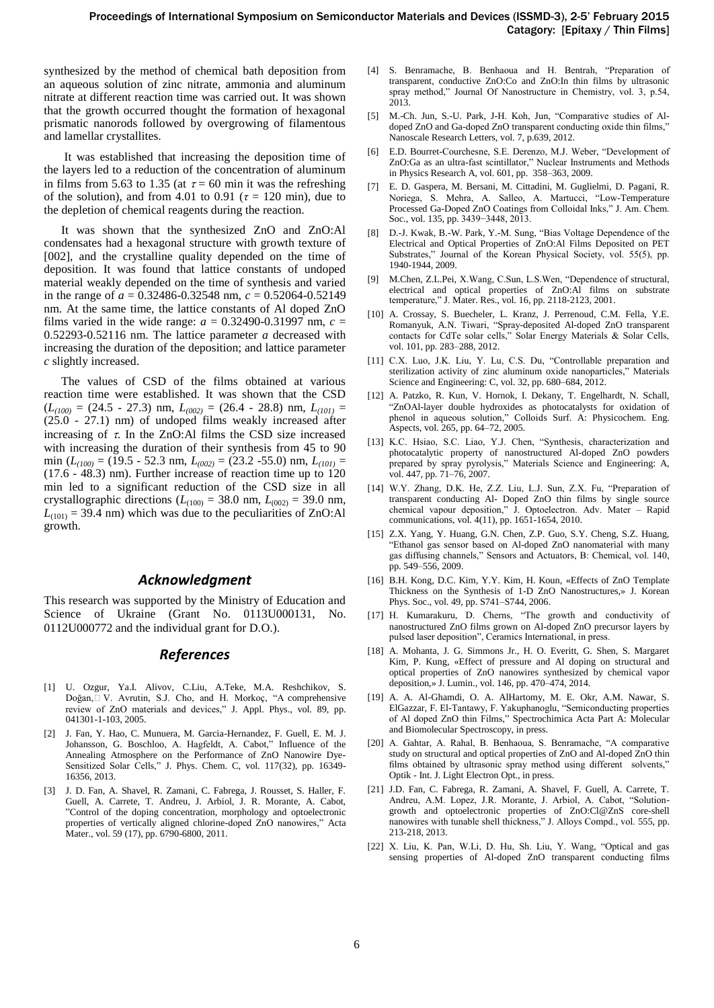synthesized by the method of chemical bath deposition from an aqueous solution of zinc nitrate, ammonia and aluminum nitrate at different reaction time was carried out. It was shown that the growth occurred thought the formation of hexagonal prismatic nanorods followed by overgrowing of filamentous and lamellar crystallites.

It was established that increasing the deposition time of the layers led to a reduction of the concentration of aluminum in films from 5.63 to 1.35 (at  $\tau = 60$  min it was the refreshing of the solution), and from 4.01 to 0.91 ( $\tau = 120$  min), due to the depletion of chemical reagents during the reaction.

It was shown that the synthesized ZnO and ZnO:Al condensates had a hexagonal structure with growth texture of [002], and the crystalline quality depended on the time of deposition. It was found that lattice constants of undoped material weakly depended on the time of synthesis and varied in the range of *a* = 0.32486-0.32548 nm, *c* = 0.52064-0.52149 nm. At the same time, the lattice constants of Al doped ZnO films varied in the wide range:  $a = 0.32490 - 0.31997$  nm,  $c =$ 0.52293-0.52116 nm. The lattice parameter *a* decreased with increasing the duration of the deposition; and lattice parameter *c* slightly increased.

The values of CSD of the films obtained at various reaction time were established. It was shown that the CSD  $(L_{(100)} = (24.5 - 27.3)$  nm,  $L_{(002)} = (26.4 - 28.8)$  nm,  $L_{(101)} =$ (25.0 - 27.1) nm) of undoped films weakly increased after increasing of  $\tau$ . In the ZnO:Al films the CSD size increased with increasing the duration of their synthesis from 45 to 90 min (*L(100)* = (19.5 - 52.3 nm, *L(002)* = (23.2 -55.0) nm, *L(101)* = (17.6 - 48.3) nm). Further increase of reaction time up to 120 min led to a significant reduction of the CSD size in all crystallographic directions ( $L_{(100)} = 38.0$  nm,  $L_{(002)} = 39.0$  nm,  $L_{(101)} = 39.4$  nm) which was due to the peculiarities of ZnO:Al growth.

# *Acknowledgment*

This research was supported by the Ministry of Education and Science of Ukraine (Grant No. 0113U000131, No. 0112U000772 and the individual grant for D.O.).

# *References*

- [1] U. Ozgur, Ya.I. Alivov, C.Liu, A.Teke, M.A. Reshchikov, S. Doğan,□ V. Avrutin, S.J. Cho, and H. Morkoç, "A comprehensive review of ZnO materials and devices," J. Appl. Phys., vol. 89, pp. 041301-1-103, 2005.
- [2] J. Fan, Y. Hao, C. Munuera, M. Garcia-Hernandez, F. Guell, E. M. J. Johansson, G. Boschloo, A. Hagfeldt, A. Cabot," Influence of the Annealing Atmosphere on the Performance of ZnO Nanowire Dye-Sensitized Solar Cells," J. Phys. Chem. C, vol. 117(32), pp. 16349-16356, 2013.
- [3] J. D. Fan, A. Shavel, R. Zamani, C. Fabrega, J. Rousset, S. Haller, F. Guell, A. Carrete, T. Andreu, J. Arbiol, J. R. Morante, A. Cabot, ‖Control of the doping concentration, morphology and optoelectronic properties of vertically aligned chlorine-doped ZnO nanowires," Acta Mater., vol. 59 (17), pp. 6790-6800, 2011.
- [4] S. Benramache, B. Benhaoua and H. Bentrah, "Preparation of transparent, conductive ZnO:Co and ZnO:In thin films by ultrasonic spray method," Journal Of Nanostructure in Chemistry, vol. 3, p.54, 2013.
- [5] M.-Ch. Jun, S.-U. Park, J-H. Koh, Jun, "Comparative studies of Aldoped ZnO and Ga-doped ZnO transparent conducting oxide thin films,' Nanoscale Research Letters, vol. 7, p.639, 2012.
- [6] E.D. Bourret-Courchesne, S.E. Derenzo, M.J. Weber, "Development of ZnO:Ga as an ultra-fast scintillator," Nuclear Instruments and Methods in Physics Research A, vol. 601, pp. 358–363, 2009.
- [7] E. D. Gaspera, M. Bersani, M. Cittadini, M. Guglielmi, D. Pagani, R. Noriega, S. Mehra, A. Salleo, A. Martucci, "Low-Temperature Processed Ga-Doped ZnO Coatings from Colloidal Inks," J. Am. Chem. Soc., vol. 135, pp. 3439−3448, 2013.
- [8] D.-J. Kwak, B.-W. Park, Y.-M. Sung, "Bias Voltage Dependence of the Electrical and Optical Properties of ZnO:Al Films Deposited on PET Substrates," Journal of the Korean Physical Society, vol. 55(5), pp. 1940-1944, 2009.
- [9] M.Chen, Z.L.Pei, X.Wang, C.Sun, L.S.Wen, "Dependence of structural, electrical and optical properties of ZnO:Al films on substrate temperature," J. Mater. Res., vol. 16, pp. 2118-2123, 2001.
- [10] A. Crossay, S. Buecheler, L. Kranz, J. Perrenoud, C.M. Fella, Y.E. Romanyuk, A.N. Tiwari, "Spray-deposited Al-doped ZnO transparent contacts for CdTe solar cells," Solar Energy Materials & Solar Cells, vol. 101, pp. 283–288, 2012.
- [11] C.X. Luo, J.K. Liu, Y. Lu, C.S. Du, "Controllable preparation and sterilization activity of zinc aluminum oxide nanoparticles," Materials Science and Engineering: C, vol. 32, pp. 680–684, 2012.
- [12] A. Patzko, R. Kun, V. Hornok, I. Dekany, T. Engelhardt, N. Schall, ―ZnOAl-layer double hydroxides as photocatalysts for oxidation of phenol in aqueous solution," Colloids Surf. A: Physicochem. Eng. Aspects, vol. 265, pp. 64–72, 2005.
- [13] K.C. Hsiao, S.C. Liao, Y.J. Chen, "Synthesis, characterization and photocatalytic property of nanostructured Al-doped ZnO powders prepared by spray pyrolysis," Materials Science and Engineering: A, vol. 447, pp. 71–76, 2007.
- [14] W.Y. Zhang, D.K. He, Z.Z. Liu, L.J. Sun, Z.X. Fu, "Preparation of transparent conducting Al- Doped ZnO thin films by single source chemical vapour deposition," J. Optoelectron. Adv. Mater – Rapid communications, vol. 4(11), pp. 1651-1654, 2010.
- [15] Z.X. Yang, Y. Huang, G.N. Chen, Z.P. Guo, S.Y. Cheng, S.Z. Huang, ―Ethanol gas sensor based on Al-doped ZnO nanomaterial with many gas diffusing channels," Sensors and Actuators, B: Chemical, vol. 140, pp. 549–556, 2009.
- [16] B.H. Kong, D.C. Kim, Y.Y. Kim, H. Koun, «Effects of ZnO Template Thickness on the Synthesis of 1-D ZnO Nanostructures,» J. Korean Phys. Soc., vol. 49, pp. S741–S744, 2006.
- [17] H. Kumarakuru, D. Cherns, "The growth and conductivity of nanostructured ZnO films grown on Al-doped ZnO precursor layers by pulsed laser deposition", Ceramics International, in press.
- [18] A. Mohanta, J. G. Simmons Jr., H. O. Everitt, G. Shen, S. Margaret Kim, P. Kung, «Effect of pressure and Al doping on structural and optical properties of ZnO nanowires synthesized by chemical vapor deposition,» J. Lumin., vol. 146, pp. 470–474, 2014.
- [19] A. A. Al-Ghamdi, O. A. AlHartomy, M. E. Okr, A.M. Nawar, S. ElGazzar, F. El-Tantawy, F. Yakuphanoglu, "Semiconducting properties of Al doped ZnO thin Films," Spectrochimica Acta Part A: Molecular and Biomolecular Spectroscopy, in press.
- [20] A. Gahtar, A. Rahal, B. Benhaoua, S. Benramache, "A comparative study on structural and optical properties of ZnO and Al-doped ZnO thin films obtained by ultrasonic spray method using different solvents,' Optik - Int. J. Light Electron Opt., in press.
- [21] J.D. Fan, C. Fabrega, R. Zamani, A. Shavel, F. Guell, A. Carrete, T. Andreu, A.M. Lopez, J.R. Morante, J. Arbiol, A. Cabot, "Solutiongrowth and optoelectronic properties of ZnO:Cl@ZnS core-shell nanowires with tunable shell thickness," J. Alloys Compd., vol. 555, pp. 213-218, 2013.
- [22] X. Liu, K. Pan, W.Li, D. Hu, Sh. Liu, Y. Wang, "Optical and gas sensing properties of Al-doped ZnO transparent conducting films